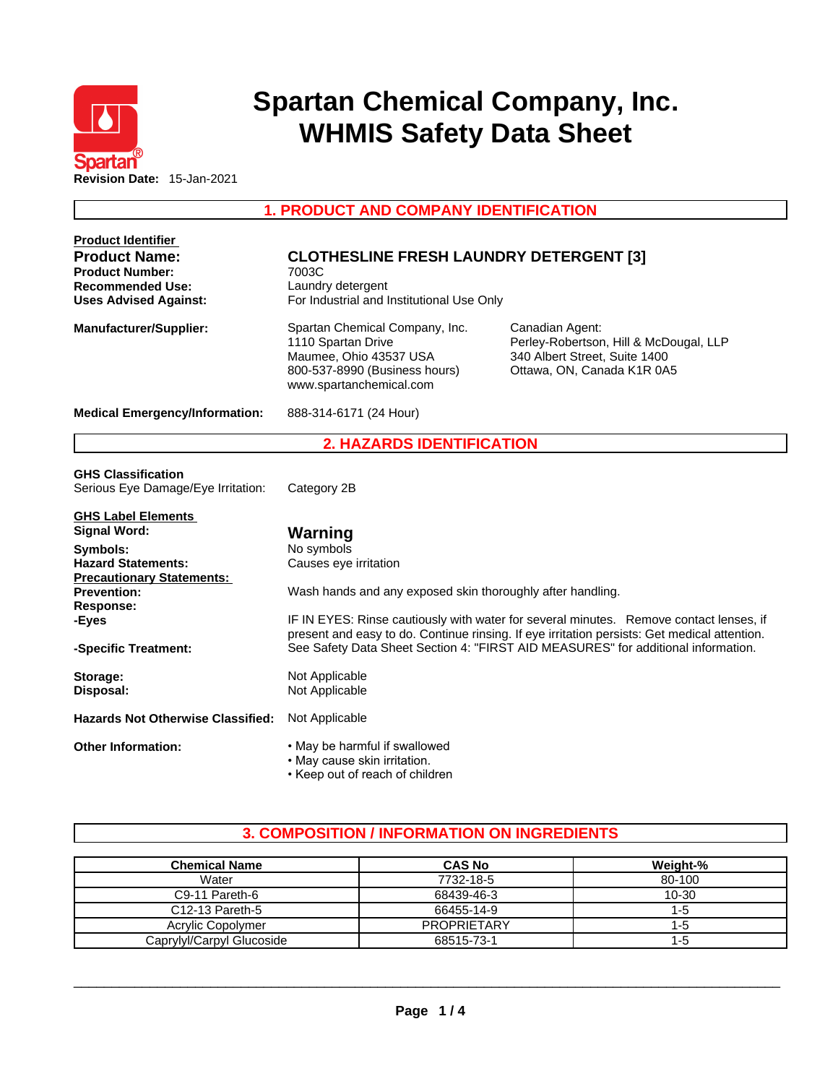

# **Spartan Chemical Company, Inc. WHMIS Safety Data Sheet**

**1. PRODUCT AND COMPANY IDENTIFICATION** 

| <b>Product Identifier</b>                |                                                                              |                                                                                                                                                                                   |  |  |  |
|------------------------------------------|------------------------------------------------------------------------------|-----------------------------------------------------------------------------------------------------------------------------------------------------------------------------------|--|--|--|
| <b>Product Name:</b>                     | <b>CLOTHESLINE FRESH LAUNDRY DETERGENT [3]</b><br>7003C<br>Laundry detergent |                                                                                                                                                                                   |  |  |  |
| <b>Product Number:</b>                   |                                                                              |                                                                                                                                                                                   |  |  |  |
| <b>Recommended Use:</b>                  |                                                                              |                                                                                                                                                                                   |  |  |  |
| <b>Uses Advised Against:</b>             | For Industrial and Institutional Use Only                                    |                                                                                                                                                                                   |  |  |  |
| <b>Manufacturer/Supplier:</b>            | Spartan Chemical Company, Inc.<br>Canadian Agent:                            |                                                                                                                                                                                   |  |  |  |
|                                          | 1110 Spartan Drive                                                           | Perley-Robertson, Hill & McDougal, LLP                                                                                                                                            |  |  |  |
|                                          | Maumee, Ohio 43537 USA                                                       | 340 Albert Street, Suite 1400                                                                                                                                                     |  |  |  |
|                                          | 800-537-8990 (Business hours)                                                | Ottawa, ON, Canada K1R 0A5                                                                                                                                                        |  |  |  |
|                                          | www.spartanchemical.com                                                      |                                                                                                                                                                                   |  |  |  |
| <b>Medical Emergency/Information:</b>    | 888-314-6171 (24 Hour)                                                       |                                                                                                                                                                                   |  |  |  |
|                                          | <b>2. HAZARDS IDENTIFICATION</b>                                             |                                                                                                                                                                                   |  |  |  |
| <b>GHS Classification</b>                |                                                                              |                                                                                                                                                                                   |  |  |  |
| Serious Eye Damage/Eye Irritation:       | Category 2B                                                                  |                                                                                                                                                                                   |  |  |  |
|                                          |                                                                              |                                                                                                                                                                                   |  |  |  |
| <b>GHS Label Elements</b>                |                                                                              |                                                                                                                                                                                   |  |  |  |
| <b>Signal Word:</b>                      | Warning                                                                      |                                                                                                                                                                                   |  |  |  |
| Symbols:                                 | No symbols                                                                   |                                                                                                                                                                                   |  |  |  |
| <b>Hazard Statements:</b>                | Causes eye irritation                                                        |                                                                                                                                                                                   |  |  |  |
| <b>Precautionary Statements:</b>         |                                                                              |                                                                                                                                                                                   |  |  |  |
| <b>Prevention:</b>                       | Wash hands and any exposed skin thoroughly after handling.                   |                                                                                                                                                                                   |  |  |  |
| <b>Response:</b>                         |                                                                              |                                                                                                                                                                                   |  |  |  |
| -Eyes                                    |                                                                              | IF IN EYES: Rinse cautiously with water for several minutes. Remove contact lenses, if                                                                                            |  |  |  |
| -Specific Treatment:                     |                                                                              | present and easy to do. Continue rinsing. If eye irritation persists: Get medical attention.<br>See Safety Data Sheet Section 4: "FIRST AID MEASURES" for additional information. |  |  |  |
|                                          |                                                                              |                                                                                                                                                                                   |  |  |  |
| Storage:                                 | Not Applicable                                                               |                                                                                                                                                                                   |  |  |  |
| Disposal:                                | Not Applicable                                                               |                                                                                                                                                                                   |  |  |  |
| <b>Hazards Not Otherwise Classified:</b> | Not Applicable                                                               |                                                                                                                                                                                   |  |  |  |
| <b>Other Information:</b>                | . May be harmful if swallowed                                                |                                                                                                                                                                                   |  |  |  |
|                                          | • May cause skin irritation.                                                 |                                                                                                                                                                                   |  |  |  |
|                                          | • Keep out of reach of children                                              |                                                                                                                                                                                   |  |  |  |

# **3. COMPOSITION / INFORMATION ON INGREDIENTS**

| <b>Chemical Name</b>         | <b>CAS No</b>      | Weight-% |
|------------------------------|--------------------|----------|
| Water                        | 7732-18-5          | 80-100   |
| C <sub>9</sub> -11 Pareth-6  | 68439-46-3         | 10-30    |
| C <sub>12</sub> -13 Pareth-5 | 66455-14-9         | 1-5      |
| Acrylic Copolymer            | <b>PROPRIETARY</b> | $1 - 5$  |
| Caprylyl/Carpyl Glucoside    | 68515-73-1         | $1 - 5$  |

 $\_$  ,  $\_$  ,  $\_$  ,  $\_$  ,  $\_$  ,  $\_$  ,  $\_$  ,  $\_$  ,  $\_$  ,  $\_$  ,  $\_$  ,  $\_$  ,  $\_$  ,  $\_$  ,  $\_$  ,  $\_$  ,  $\_$  ,  $\_$  ,  $\_$  ,  $\_$  ,  $\_$  ,  $\_$  ,  $\_$  ,  $\_$  ,  $\_$  ,  $\_$  ,  $\_$  ,  $\_$  ,  $\_$  ,  $\_$  ,  $\_$  ,  $\_$  ,  $\_$  ,  $\_$  ,  $\_$  ,  $\_$  ,  $\_$  ,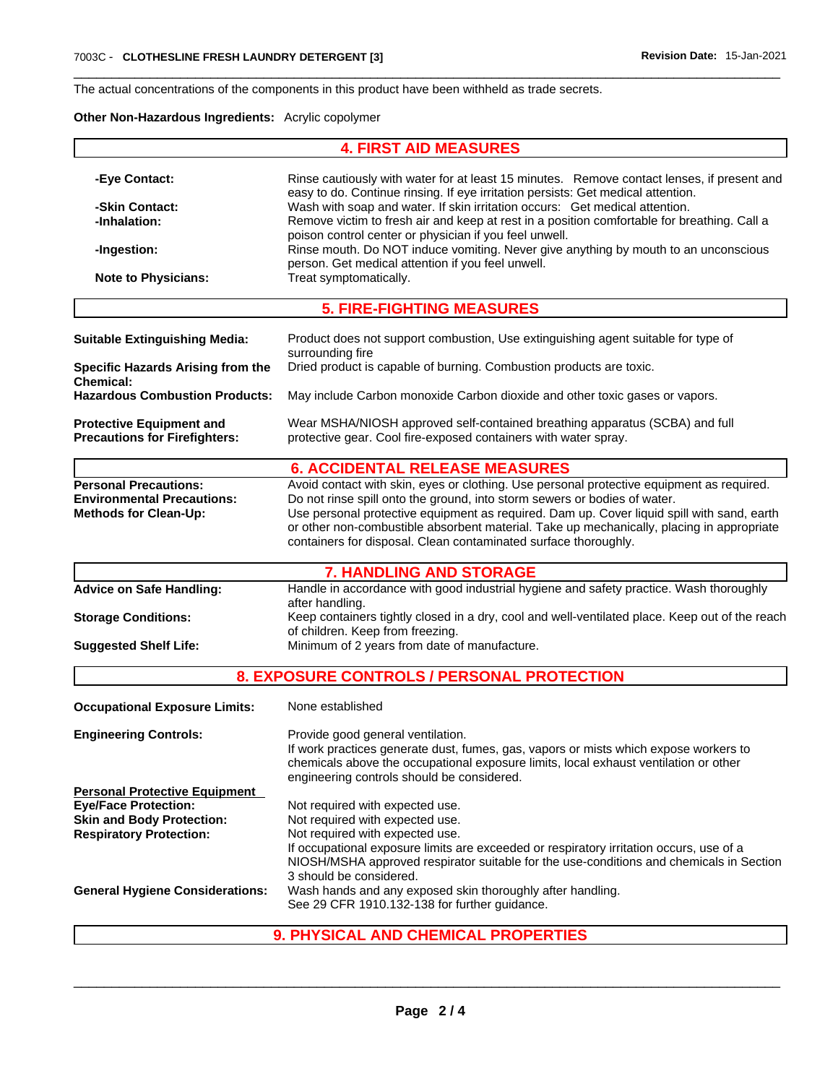The actual concentrations of the components in this product have been withheld as trade secrets.

## **Other Non-Hazardous Ingredients:** Acrylic copolymer

|                                                                                                   | <b>4. FIRST AID MEASURES</b>                                                                                                                                                                                                                                                                                                                                                                                                                                                                                                                                                                 |  |
|---------------------------------------------------------------------------------------------------|----------------------------------------------------------------------------------------------------------------------------------------------------------------------------------------------------------------------------------------------------------------------------------------------------------------------------------------------------------------------------------------------------------------------------------------------------------------------------------------------------------------------------------------------------------------------------------------------|--|
| -Eye Contact:<br>-Skin Contact:<br>-Inhalation:<br>-Ingestion:<br><b>Note to Physicians:</b>      | Rinse cautiously with water for at least 15 minutes. Remove contact lenses, if present and<br>easy to do. Continue rinsing. If eye irritation persists: Get medical attention.<br>Wash with soap and water. If skin irritation occurs: Get medical attention.<br>Remove victim to fresh air and keep at rest in a position comfortable for breathing. Call a<br>poison control center or physician if you feel unwell.<br>Rinse mouth. Do NOT induce vomiting. Never give anything by mouth to an unconscious<br>person. Get medical attention if you feel unwell.<br>Treat symptomatically. |  |
|                                                                                                   | <b>5. FIRE-FIGHTING MEASURES</b>                                                                                                                                                                                                                                                                                                                                                                                                                                                                                                                                                             |  |
| <b>Suitable Extinguishing Media:</b>                                                              | Product does not support combustion, Use extinguishing agent suitable for type of<br>surrounding fire                                                                                                                                                                                                                                                                                                                                                                                                                                                                                        |  |
| <b>Specific Hazards Arising from the</b><br><b>Chemical:</b>                                      | Dried product is capable of burning. Combustion products are toxic.                                                                                                                                                                                                                                                                                                                                                                                                                                                                                                                          |  |
| <b>Hazardous Combustion Products:</b>                                                             | May include Carbon monoxide Carbon dioxide and other toxic gases or vapors.                                                                                                                                                                                                                                                                                                                                                                                                                                                                                                                  |  |
| <b>Protective Equipment and</b><br><b>Precautions for Firefighters:</b>                           | Wear MSHA/NIOSH approved self-contained breathing apparatus (SCBA) and full<br>protective gear. Cool fire-exposed containers with water spray.                                                                                                                                                                                                                                                                                                                                                                                                                                               |  |
|                                                                                                   | <b>6. ACCIDENTAL RELEASE MEASURES</b>                                                                                                                                                                                                                                                                                                                                                                                                                                                                                                                                                        |  |
| <b>Personal Precautions:</b><br><b>Environmental Precautions:</b><br><b>Methods for Clean-Up:</b> | Avoid contact with skin, eyes or clothing. Use personal protective equipment as required.<br>Do not rinse spill onto the ground, into storm sewers or bodies of water.<br>Use personal protective equipment as required. Dam up. Cover liquid spill with sand, earth<br>or other non-combustible absorbent material. Take up mechanically, placing in appropriate<br>containers for disposal. Clean contaminated surface thoroughly.                                                                                                                                                         |  |
|                                                                                                   | <b>7. HANDLING AND STORAGE</b>                                                                                                                                                                                                                                                                                                                                                                                                                                                                                                                                                               |  |
| <b>Advice on Safe Handling:</b>                                                                   | Handle in accordance with good industrial hygiene and safety practice. Wash thoroughly<br>after handling.                                                                                                                                                                                                                                                                                                                                                                                                                                                                                    |  |
| <b>Storage Conditions:</b>                                                                        | Keep containers tightly closed in a dry, cool and well-ventilated place. Keep out of the reach<br>of children. Keep from freezing.                                                                                                                                                                                                                                                                                                                                                                                                                                                           |  |
| <b>Suggested Shelf Life:</b>                                                                      | Minimum of 2 years from date of manufacture.                                                                                                                                                                                                                                                                                                                                                                                                                                                                                                                                                 |  |
|                                                                                                   | 8. EXPOSURE CONTROLS / PERSONAL PROTECTION                                                                                                                                                                                                                                                                                                                                                                                                                                                                                                                                                   |  |
| <b>Occupational Exposure Limits:</b>                                                              | None established                                                                                                                                                                                                                                                                                                                                                                                                                                                                                                                                                                             |  |
| <b>Engineering Controls:</b>                                                                      | Provide good general ventilation.<br>If work practices generate dust, fumes, gas, vapors or mists which expose workers to<br>chemicals above the occupational exposure limits, local exhaust ventilation or other<br>engineering controls should be considered.                                                                                                                                                                                                                                                                                                                              |  |
| <b>Personal Protective Equipment</b>                                                              |                                                                                                                                                                                                                                                                                                                                                                                                                                                                                                                                                                                              |  |
| <b>Eye/Face Protection:</b>                                                                       | Not required with expected use.                                                                                                                                                                                                                                                                                                                                                                                                                                                                                                                                                              |  |
| <b>Skin and Body Protection:</b><br><b>Respiratory Protection:</b>                                | Not required with expected use.<br>Not required with expected use.<br>If occupational exposure limits are exceeded or respiratory irritation occurs, use of a<br>NIOSH/MSHA approved respirator suitable for the use-conditions and chemicals in Section                                                                                                                                                                                                                                                                                                                                     |  |
| <b>General Hygiene Considerations:</b>                                                            | 3 should be considered.<br>Wash hands and any exposed skin thoroughly after handling.<br>See 29 CFR 1910.132-138 for further guidance.                                                                                                                                                                                                                                                                                                                                                                                                                                                       |  |
|                                                                                                   | 9. PHYSICAL AND CHEMICAL PROPERTIES                                                                                                                                                                                                                                                                                                                                                                                                                                                                                                                                                          |  |

 $\_$  ,  $\_$  ,  $\_$  ,  $\_$  ,  $\_$  ,  $\_$  ,  $\_$  ,  $\_$  ,  $\_$  ,  $\_$  ,  $\_$  ,  $\_$  ,  $\_$  ,  $\_$  ,  $\_$  ,  $\_$  ,  $\_$  ,  $\_$  ,  $\_$  ,  $\_$  ,  $\_$  ,  $\_$  ,  $\_$  ,  $\_$  ,  $\_$  ,  $\_$  ,  $\_$  ,  $\_$  ,  $\_$  ,  $\_$  ,  $\_$  ,  $\_$  ,  $\_$  ,  $\_$  ,  $\_$  ,  $\_$  ,  $\_$  ,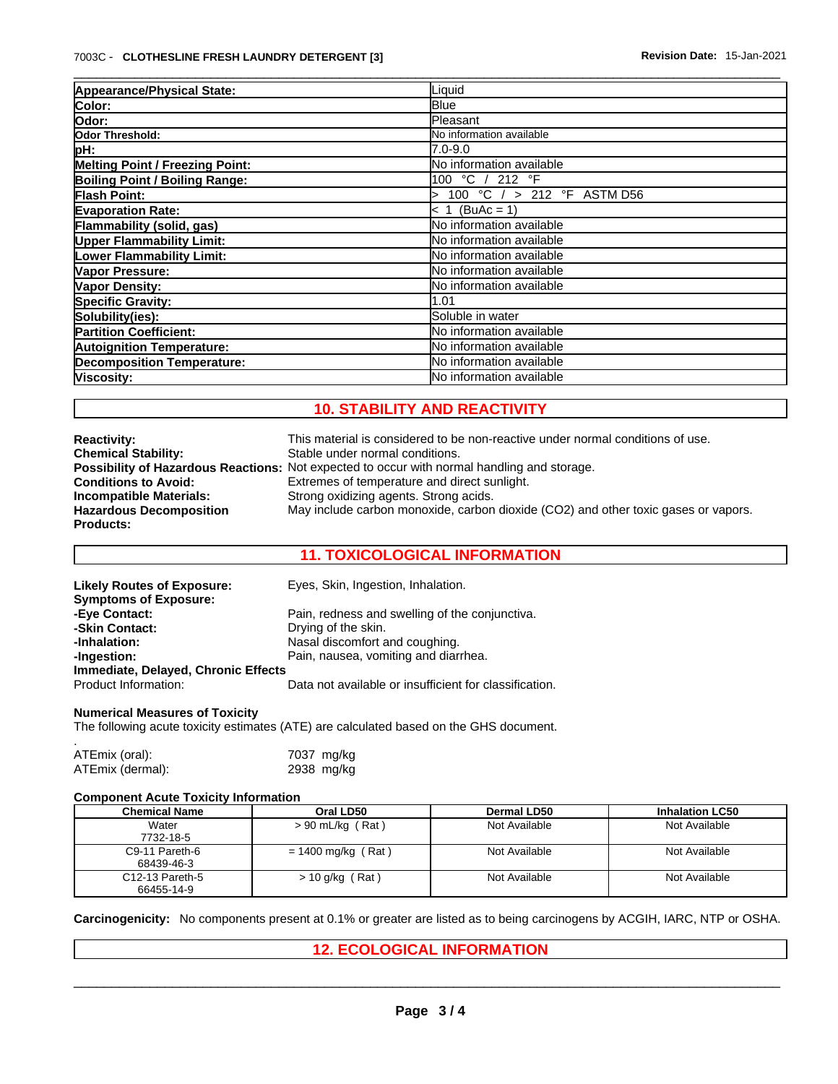| Appearance/Physical State:             | Liquid                            |  |
|----------------------------------------|-----------------------------------|--|
| Color:                                 | <b>Blue</b>                       |  |
| Odor:                                  | Pleasant                          |  |
| Odor Threshold:                        | No information available          |  |
| pH:                                    | 7.0-9.0                           |  |
| <b>Melting Point / Freezing Point:</b> | No information available          |  |
| <b>Boiling Point / Boiling Range:</b>  | 100 °C / 212 °F                   |  |
| <b>Flash Point:</b>                    | 100 °C $/$ > 212 °F ASTM D56<br>↘ |  |
| <b>Evaporation Rate:</b>               | $(BuAc = 1)$<br>< 1               |  |
| Flammability (solid, gas)              | No information available          |  |
| <b>Upper Flammability Limit:</b>       | No information available          |  |
| <b>Lower Flammability Limit:</b>       | No information available          |  |
| Vapor Pressure:                        | No information available          |  |
| Vapor Density:                         | No information available          |  |
| <b>Specific Gravity:</b>               | 1.01                              |  |
| Solubility(ies):                       | Soluble in water                  |  |
| <b>Partition Coefficient:</b>          | No information available          |  |
| <b>Autoignition Temperature:</b>       | No information available          |  |
| <b>Decomposition Temperature:</b>      | No information available          |  |
| Viscosity:                             | No information available          |  |

# **10. STABILITY AND REACTIVITY**

| <b>Reactivity:</b>             | This material is considered to be non-reactive under normal conditions of use.                     |
|--------------------------------|----------------------------------------------------------------------------------------------------|
| <b>Chemical Stability:</b>     | Stable under normal conditions.                                                                    |
|                                | <b>Possibility of Hazardous Reactions:</b> Not expected to occur with normal handling and storage. |
| <b>Conditions to Avoid:</b>    | Extremes of temperature and direct sunlight.                                                       |
| Incompatible Materials:        | Strong oxidizing agents. Strong acids.                                                             |
| <b>Hazardous Decomposition</b> | May include carbon monoxide, carbon dioxide (CO2) and other toxic gases or vapors.                 |
| <b>Products:</b>               |                                                                                                    |

# **11. TOXICOLOGICAL INFORMATION**

| <b>Likely Routes of Exposure:</b>   | Eyes, Skin, Ingestion, Inhalation.                     |
|-------------------------------------|--------------------------------------------------------|
| <b>Symptoms of Exposure:</b>        |                                                        |
| -Eye Contact:                       | Pain, redness and swelling of the conjunctiva.         |
| -Skin Contact:                      | Drying of the skin.                                    |
| -Inhalation:                        | Nasal discomfort and coughing.                         |
| -Ingestion:                         | Pain, nausea, vomiting and diarrhea.                   |
| Immediate, Delayed, Chronic Effects |                                                        |
| Product Information:                | Data not available or insufficient for classification. |

## **Numerical Measures of Toxicity**

The following acute toxicity estimates (ATE) are calculated based on the GHS document.

| ATEmix (oral):   | 7037 mg/kg |
|------------------|------------|
|                  |            |
| ATEmix (dermal): | 2938 mg/kg |

### **Component Acute Toxicity Information**

| Chemical Name   | Oral LD50            | Dermal LD50   | <b>Inhalation LC50</b> |
|-----------------|----------------------|---------------|------------------------|
| Water           | $> 90$ mL/kg (Rat)   | Not Available | Not Available          |
| 7732-18-5       |                      |               |                        |
| C9-11 Pareth-6  | $= 1400$ mg/kg (Rat) | Not Available | Not Available          |
| 68439-46-3      |                      |               |                        |
| C12-13 Pareth-5 | $> 10$ g/kg (Rat)    | Not Available | Not Available          |
| 66455-14-9      |                      |               |                        |

**Carcinogenicity:** No components present at 0.1% or greater arelisted as to being carcinogens by ACGIH, IARC, NTP or OSHA.

# **12. ECOLOGICAL INFORMATION**

 $\_$  ,  $\_$  ,  $\_$  ,  $\_$  ,  $\_$  ,  $\_$  ,  $\_$  ,  $\_$  ,  $\_$  ,  $\_$  ,  $\_$  ,  $\_$  ,  $\_$  ,  $\_$  ,  $\_$  ,  $\_$  ,  $\_$  ,  $\_$  ,  $\_$  ,  $\_$  ,  $\_$  ,  $\_$  ,  $\_$  ,  $\_$  ,  $\_$  ,  $\_$  ,  $\_$  ,  $\_$  ,  $\_$  ,  $\_$  ,  $\_$  ,  $\_$  ,  $\_$  ,  $\_$  ,  $\_$  ,  $\_$  ,  $\_$  ,